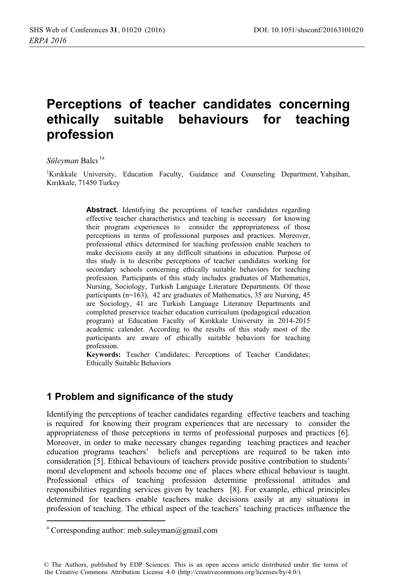# Perceptions of teacher candidates concerning ethically suitable behaviours for teaching profession

Süleyman Balcı<sup>la</sup>

<sup>1</sup>Kırıkkale University, Education Faculty, Guidance and Counseling Department, Yahşihan, Kırıkkale, 71450 Turkey

> **Abstract.** Identifying the perceptions of teacher candidates regarding effective teacher charactheristics and teaching is necessary for knowing their program experiences to consider the appropriateness of those perceptions in terms of professional purposes and practices. Moreover, professional ethics determined for teaching profession enable teachers to make decisions easily at any difficult situations in education. Purpose of this study is to describe perceptions of teacher candidates working for secondary schools concerning ethically suitable behaviors for teaching profession. Participants of this study includes graduates of Mathematics, Nursing, Sociology, Turkish Language Literature Departments. Of those participants ( $n=163$ ), 42 are graduates of Mathematics, 35 are Nursing, 45 are Sociology, 41 are Turkish Language Literature Departments and completed preservice teacher education curriculum (pedagogical education program) at Education Faculty of Kırıkkale University in 2014-2015 academic calender. According to the results of this study most of the participants are aware of ethically suitable behaviors for teaching profession.

> Keywords: Teacher Candidates; Perceptions of Teacher Candidates; **Ethically Suitable Behaviors**

### 1 Problem and significance of the study

Identifying the perceptions of teacher candidates regarding effective teachers and teaching is required for knowing their program experiences that are necessary to consider the appropriateness of those perceptions in terms of professional purposes and practices [6]. Moreover, in order to make necessary changes regarding teaching practices and teacher education programs teachers' beliefs and perceptions are required to be taken into consideration [5]. Ethical behaviours of teachers provide positive contribution to students' moral development and schools become one of places where ethical behaviour is taught. Professional ethics of teaching profession determine professional attitudes and responsibilities regarding services given by teachers [8]. For example, ethical principles determined for teachers enable teachers make decisions easily at any situations in profession of teaching. The ethical aspect of the teachers' teaching practices influence the

<sup>&</sup>lt;sup>a</sup> Corresponding author: meb.suleyman@gmail.com

<sup>©</sup> The Authors, published by EDP Sciences. This is an open access article distributed under the terms of the Creative Commons Attribution License 4.0 (http://creativecommons.org/licenses/by/4.0/).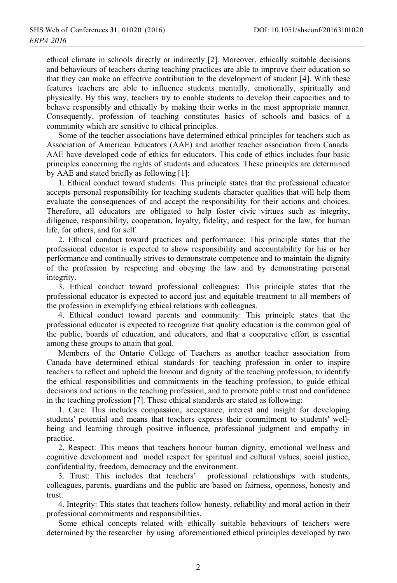ethical climate in schools directly or indirectly [2]. Moreover, ethically suitable decisions and behaviours of teachers during teaching practices are able to improve their education so that they can make an effective contribution to the development of student [4]. With these features teachers are able to influence students mentally, emotionally, spiritually and physically. By this way, teachers try to enable students to develop their capacities and to behave responsibly and ethically by making their works in the most appropriate manner. Consequently, profession of teaching constitutes basics of schools and basics of a community which are sensitive to ethical principles.

Some of the teacher associations have determined ethical principles for teachers such as Association of American Educators (AAE) and another teacher association from Canada. AAE have developed code of ethics for educators. This code of ethics includes four basic principles concerning the rights of students and educators. These principles are determined by AAE and stated briefly as following [1]:

1. Ethical conduct toward students: This principle states that the professional educator accepts personal responsibility for teaching students character qualities that will help them evaluate the consequences of and accept the responsibility for their actions and choices. Therefore, all educators are obligated to help foster civic virtues such as integrity, diligence, responsibility, cooperation, loyalty, fidelity, and respect for the law, for human life, for others, and for self.

2. Ethical conduct toward practices and performance: This principle states that the professional educator is expected to show responsibility and accountability for his or her performance and continually strives to demonstrate competence and to maintain the dignity of the profession by respecting and obeying the law and by demonstrating personal integrity.

3. Ethical conduct toward professional colleagues: This principle states that the professional educator is expected to accord just and equitable treatment to all members of the profession in exemplifying ethical relations with colleagues.

4. Ethical conduct toward parents and community: This principle states that the professional educator is expected to recognize that quality education is the common goal of the public, boards of education, and educators, and that a cooperative effort is essential among these groups to attain that goal.

Members of the Ontario College of Teachers as another teacher association from Canada have determined ethical standards for teaching profession in order to inspire teachers to reflect and uphold the honour and dignity of the teaching profession, to identify the ethical responsibilities and commitments in the teaching profession, to guide ethical decisions and actions in the teaching profession, and to promote public trust and confidence in the teaching profession [7]. These ethical standards are stated as following:

1. Care: This includes compassion, acceptance, interest and insight for developing students' potential and means that teachers express their commitment to students' wellbeing and learning through positive influence, professional judgment and empathy in practice.

2. Respect: This means that teachers honour human dignity, emotional wellness and cognitive development and model respect for spiritual and cultural values, social justice, confidentiality, freedom, democracy and the environment.

3. Trust: This includes that teachers' professional relationships with students, colleagues, parents, guardians and the public are based on fairness, openness, honesty and trust.

4. Integrity: This states that teachers follow honesty, reliability and moral action in their professional commitments and responsibilities.

Some ethical concepts related with ethically suitable behaviours of teachers were determined by the researcher by using aforementioned ethical principles developed by two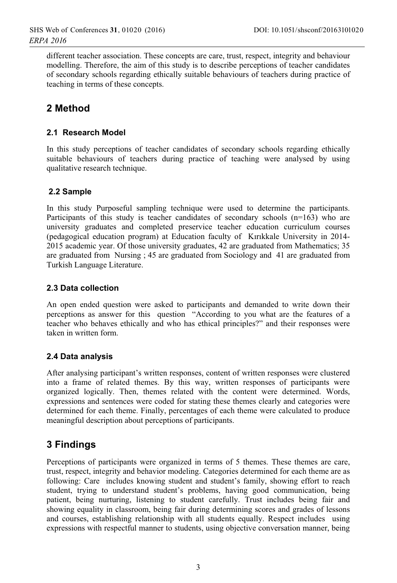different teacher association. These concepts are care, trust, respect, integrity and behaviour modelling. Therefore, the aim of this study is to describe perceptions of teacher candidates of secondary schools regarding ethically suitable behaviours of teachers during practice of teaching in terms of these concepts.

## 2 Method

#### 2.1 Research Model

In this study perceptions of teacher candidates of secondary schools regarding ethically suitable behaviours of teachers during practice of teaching were analysed by using qualitative research technique.

#### 2.2 Sample

In this study Purposeful sampling technique were used to determine the participants. Participants of this study is teacher candidates of secondary schools  $(n=163)$  who are university graduates and completed preservice teacher education curriculum courses (pedagogical education program) at Education faculty of Kırıkkale University in 2014-2015 academic year. Of those university graduates, 42 are graduated from Mathematics; 35 are graduated from Nursing; 45 are graduated from Sociology and 41 are graduated from Turkish Language Literature.

#### 2.3 Data collection

An open ended question were asked to participants and demanded to write down their perceptions as answer for this question "According to you what are the features of a teacher who behaves ethically and who has ethical principles?" and their responses were taken in written form.

#### 2.4 Data analysis

After analysing participant's written responses, content of written responses were clustered into a frame of related themes. By this way, written responses of participants were organized logically. Then, themes related with the content were determined. Words, expressions and sentences were coded for stating these themes clearly and categories were determined for each theme. Finally, percentages of each theme were calculated to produce meaningful description about perceptions of participants.

### 3 Findings

Perceptions of participants were organized in terms of 5 themes. These themes are care, trust, respect, integrity and behavior modeling. Categories determined for each theme are as following: Care includes knowing student and student's family, showing effort to reach student, trying to understand student's problems, having good communication, being patient, being nurturing, listening to student carefully. Trust includes being fair and showing equality in classroom, being fair during determining scores and grades of lessons and courses, establishing relationship with all students equally. Respect includes using expressions with respectful manner to students, using objective conversation manner, being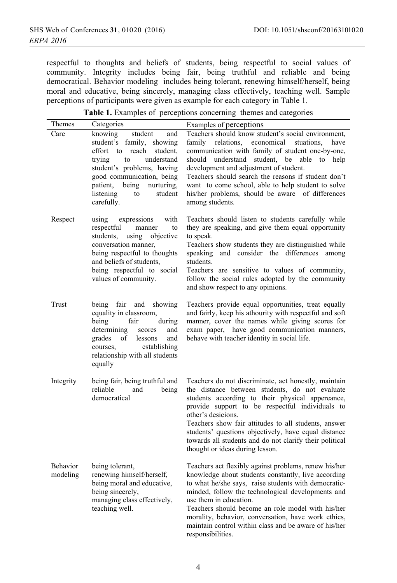respectful to thoughts and beliefs of students, being respectful to social values of community. Integrity includes being fair, being truthful and reliable and being democratical. Behavior modeling includes being tolerant, renewing himself/herself, being moral and educative, being sincerely, managing class effectively, teaching well. Sample perceptions of participants were given as example for each category in Table 1.

| Themes               | Categories                                                                                                                                                                                                                                                          | Examples of perceptions                                                                                                                                                                                                                                                                                                                                                                                                                              |
|----------------------|---------------------------------------------------------------------------------------------------------------------------------------------------------------------------------------------------------------------------------------------------------------------|------------------------------------------------------------------------------------------------------------------------------------------------------------------------------------------------------------------------------------------------------------------------------------------------------------------------------------------------------------------------------------------------------------------------------------------------------|
| Care                 | knowing<br>student<br>and<br>student's family,<br>showing<br>effort to<br>reach<br>student.<br>trying<br>understand<br>to<br>student's problems, having<br>good communication, being<br>patient,<br>being<br>nurturing,<br>listening<br>student<br>to<br>carefully. | Teachers should know student's social environment,<br>family<br>relations,<br>economical<br>stuations,<br>have<br>communication with family of student one-by-one,<br>should understand<br>student, be able to<br>help<br>development and adjustment of student.<br>Teachers should search the reasons if student don't<br>want to come school, able to help student to solve<br>his/her problems, should be aware of differences<br>among students. |
| Respect              | expressions<br>with<br>using<br>respectful<br>manner<br>to<br>students,<br>objective<br>using<br>conversation manner,<br>being respectful to thoughts<br>and beliefs of students,<br>being respectful to social<br>values of community.                             | Teachers should listen to students carefully while<br>they are speaking, and give them equal opportunity<br>to speak.<br>Teachers show students they are distinguished while<br>speaking<br>and consider the differences<br>among<br>students.<br>Teachers are sensitive to values of community,<br>follow the social rules adopted by the community<br>and show respect to any opinions.                                                            |
| Trust                | being fair<br>and<br>showing<br>equality in classroom,<br>being<br>during<br>fair<br>determining<br>and<br>scores<br>grades<br>of<br>lessons<br>and<br>courses.<br>establishing<br>relationship with all students<br>equally                                        | Teachers provide equal opportunities, treat equally<br>and fairly, keep his athourity with respectful and soft<br>manner, cover the names while giving scores for<br>exam paper, have good communication manners,<br>behave with teacher identity in social life.                                                                                                                                                                                    |
| Integrity            | being fair, being truthful and<br>reliable<br>and<br>being<br>democratical                                                                                                                                                                                          | Teachers do not discriminate, act honestly, maintain<br>the distance between students, do not evaluate<br>students according to their physical appereance,<br>provide support to be respectful individuals to<br>other's desicions.<br>Teachers show fair attitudes to all students, answer<br>students' questions objectively, have equal distance<br>towards all students and do not clarify their political<br>thought or ideas during lesson.    |
| Behavior<br>modeling | being tolerant,<br>renewing himself/herself,<br>being moral and educative,<br>being sincerely,<br>managing class effectively,<br>teaching well.                                                                                                                     | Teachers act flexibly against problems, renew his/her<br>knowledge about students constantly, live according<br>to what he/she says, raise students with democratic-<br>minded, follow the technological developments and<br>use them in education.<br>Teachers should become an role model with his/her<br>morality, behavior, conversation, have work ethics,<br>maintain control within class and be aware of his/her<br>responsibilities.        |

| Table 1. Examples of perceptions concerning themes and categories |  |
|-------------------------------------------------------------------|--|
|-------------------------------------------------------------------|--|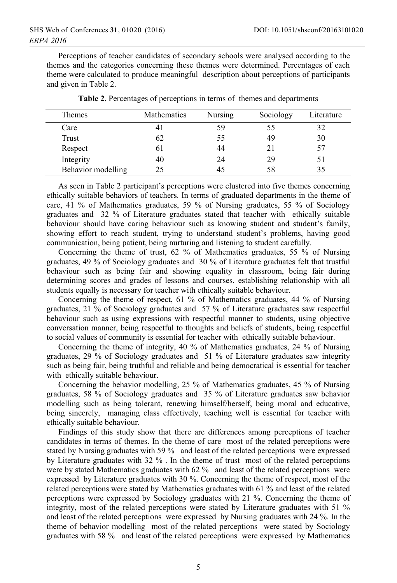Perceptions of teacher candidates of secondary schools were analysed according to the themes and the categories concerning these themes were determined. Percentages of each theme were calculated to produce meaningful description about perceptions of participants and given in Table 2.

| <b>Themes</b>      | Mathematics   | Nursing | Sociology | Literature |
|--------------------|---------------|---------|-----------|------------|
| Care               | <sup>41</sup> | 59      | 55        |            |
| Trust              | 62            | 55      | 49        | 30         |
| Respect            | 61            | 44      | 21        | 57         |
| Integrity          | 40            | 24      | 29        | 51         |
| Behavior modelling | 25            |         | 58        |            |

Table 2. Percentages of perceptions in terms of themes and departments

As seen in Table 2 participant's perceptions were clustered into five themes concerning ethically suitable behaviors of teachers. In terms of graduated departments in the theme of care, 41 % of Mathematics graduates, 59 % of Nursing graduates, 55 % of Sociology graduates and 32 % of Literature graduates stated that teacher with ethically suitable behaviour should have caring behaviour such as knowing student and student's family, showing effort to reach student, trying to understand student's problems, having good communication, being patient, being nurturing and listening to student carefully.

Concerning the theme of trust, 62 % of Mathematics graduates, 55 % of Nursing graduates, 49 % of Sociology graduates and 30 % of Literature graduates felt that trustful behaviour such as being fair and showing equality in classroom, being fair during determining scores and grades of lessons and courses, establishing relationship with all students equally is necessary for teacher with ethically suitable behaviour.

Concerning the theme of respect, 61 % of Mathematics graduates, 44 % of Nursing graduates, 21 % of Sociology graduates and 57 % of Literature graduates saw respectful behaviour such as using expressions with respectful manner to students, using objective conversation manner, being respectful to thoughts and beliefs of students, being respectful to social values of community is essential for teacher with ethically suitable behaviour.

Concerning the theme of integrity, 40 % of Mathematics graduates, 24 % of Nursing graduates, 29 % of Sociology graduates and 51 % of Literature graduates saw integrity such as being fair, being truthful and reliable and being democratical is essential for teacher with ethically suitable behaviour.

Concerning the behavior modelling, 25 % of Mathematics graduates, 45 % of Nursing graduates, 58 % of Sociology graduates and 35 % of Literature graduates saw behavior modelling such as being tolerant, renewing himself/herself, being moral and educative, being sincerely, managing class effectively, teaching well is essential for teacher with ethically suitable behaviour.

Findings of this study show that there are differences among perceptions of teacher candidates in terms of themes. In the theme of care most of the related perceptions were stated by Nursing graduates with 59 % and least of the related perceptions were expressed by Literature graduates with 32 %. In the theme of trust most of the related perceptions were by stated Mathematics graduates with 62 % and least of the related perceptions were expressed by Literature graduates with 30 %. Concerning the theme of respect, most of the related perceptions were stated by Mathematics graduates with 61 % and least of the related perceptions were expressed by Sociology graduates with 21 %. Concerning the theme of integrity, most of the related perceptions were stated by Literature graduates with 51 % and least of the related perceptions were expressed by Nursing graduates with 24 %. In the theme of behavior modelling most of the related perceptions were stated by Sociology graduates with 58 % and least of the related perceptions were expressed by Mathematics